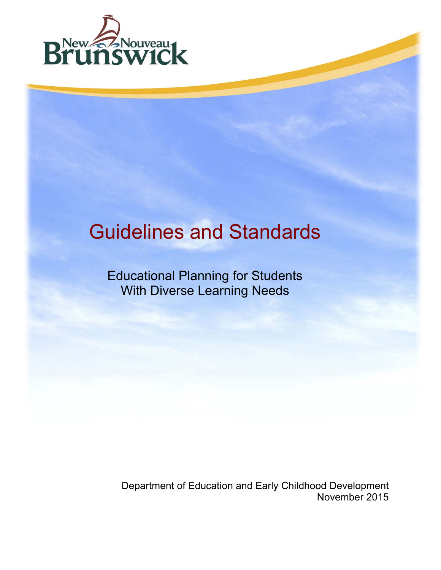

# Guidelines and Standards

Educational Planning for Students With Diverse Learning Needs

Department of Education and Early Childhood Development November 2015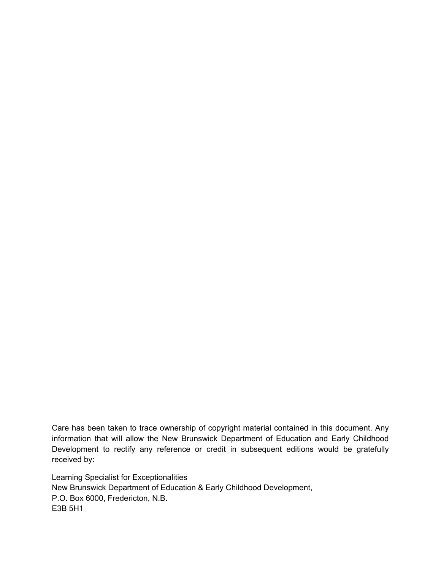Care has been taken to trace ownership of copyright material contained in this document. Any information that will allow the New Brunswick Department of Education and Early Childhood Development to rectify any reference or credit in subsequent editions would be gratefully received by:

Learning Specialist for Exceptionalities New Brunswick Department of Education & Early Childhood Development, P.O. Box 6000, Fredericton, N.B. E3B 5H1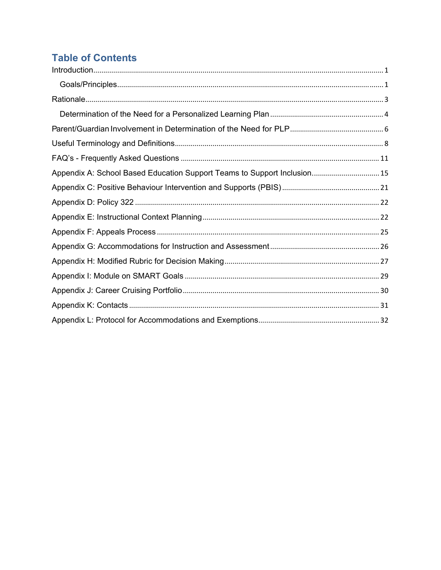# **Table of Contents**

| Appendix A: School Based Education Support Teams to Support Inclusion 15 |  |
|--------------------------------------------------------------------------|--|
|                                                                          |  |
|                                                                          |  |
|                                                                          |  |
|                                                                          |  |
|                                                                          |  |
|                                                                          |  |
|                                                                          |  |
|                                                                          |  |
|                                                                          |  |
|                                                                          |  |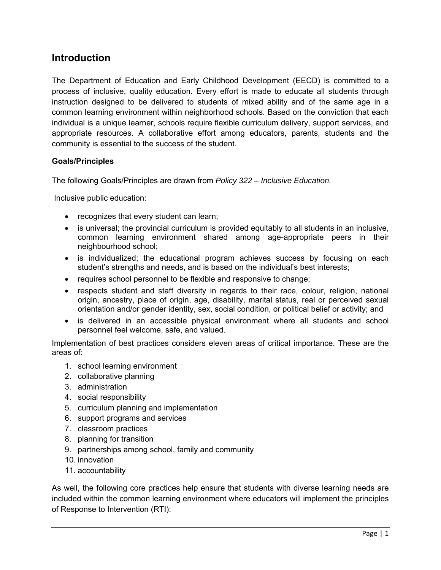#### **Introduction**

The Department of Education and Early Childhood Development (EECD) is committed to a process of inclusive, quality education. Every effort is made to educate all students through instruction designed to be delivered to students of mixed ability and of the same age in a common learning environment within neighborhood schools. Based on the conviction that each individual is a unique learner, schools require flexible curriculum delivery, support services, and appropriate resources. A collaborative effort among educators, parents, students and the community is essential to the success of the student.

#### **Goals/Principles**

The following Goals/Principles are drawn from *Policy 322 – Inclusive Education.* 

Inclusive public education:

- recognizes that every student can learn;
- is universal; the provincial curriculum is provided equitably to all students in an inclusive, common learning environment shared among age-appropriate peers in their neighbourhood school;
- is individualized; the educational program achieves success by focusing on each student's strengths and needs, and is based on the individual's best interests;
- requires school personnel to be flexible and responsive to change;
- respects student and staff diversity in regards to their race, colour, religion, national origin, ancestry, place of origin, age, disability, marital status, real or perceived sexual orientation and/or gender identity, sex, social condition, or political belief or activity; and
- is delivered in an accessible physical environment where all students and school personnel feel welcome, safe, and valued.

Implementation of best practices considers eleven areas of critical importance. These are the areas of:

- 1. school learning environment
- 2. collaborative planning
- 3. administration
- 4. social responsibility
- 5. curriculum planning and implementation
- 6. support programs and services
- 7. classroom practices
- 8. planning for transition
- 9. partnerships among school, family and community
- 10. innovation
- 11. accountability

As well, the following core practices help ensure that students with diverse learning needs are included within the common learning environment where educators will implement the principles of Response to Intervention (RTI):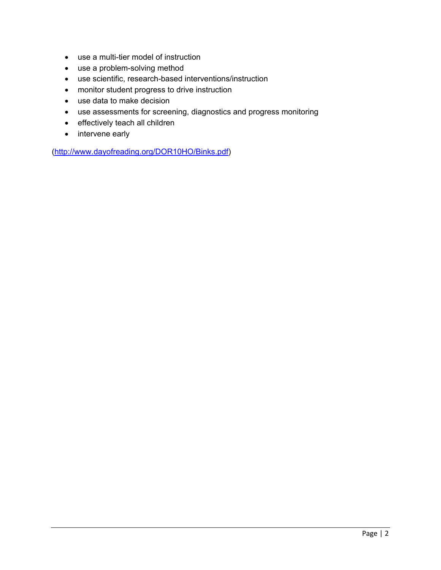- use a multi-tier model of instruction
- use a problem-solving method
- use scientific, research-based interventions/instruction
- monitor student progress to drive instruction
- use data to make decision
- use assessments for screening, diagnostics and progress monitoring
- effectively teach all children
- intervene early

(http://www.dayofreading.org/DOR10HO/Binks.pdf)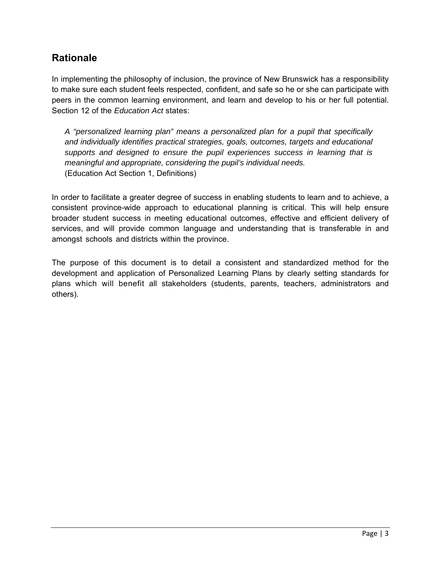### **Rationale**

In implementing the philosophy of inclusion, the province of New Brunswick has a responsibility to make sure each student feels respected, confident, and safe so he or she can participate with peers in the common learning environment, and learn and develop to his or her full potential. Section 12 of the *Education Act* states:

*A "personalized learning plan" means a personalized plan for a pupil that specifically and individually identifies practical strategies, goals, outcomes, targets and educational supports and designed to ensure the pupil experiences success in learning that is meaningful and appropriate, considering the pupil's individual needs.*  (Education Act Section 1, Definitions)

In order to facilitate a greater degree of success in enabling students to learn and to achieve, a consistent province-wide approach to educational planning is critical. This will help ensure broader student success in meeting educational outcomes, effective and efficient delivery of services, and will provide common language and understanding that is transferable in and amongst schools and districts within the province.

The purpose of this document is to detail a consistent and standardized method for the development and application of Personalized Learning Plans by clearly setting standards for plans which will benefit all stakeholders (students, parents, teachers, administrators and others).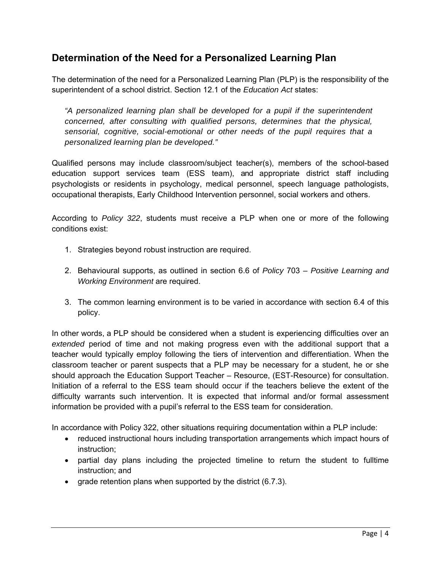### **Determination of the Need for a Personalized Learning Plan**

The determination of the need for a Personalized Learning Plan (PLP) is the responsibility of the superintendent of a school district. Section 12.1 of the *Education Act* states:

*"A personalized learning plan shall be developed for a pupil if the superintendent concerned, after consulting with qualified persons, determines that the physical, sensorial, cognitive, social-emotional or other needs of the pupil requires that a personalized learning plan be developed."* 

Qualified persons may include classroom/subject teacher(s), members of the school-based education support services team (ESS team), and appropriate district staff including psychologists or residents in psychology, medical personnel, speech language pathologists, occupational therapists, Early Childhood Intervention personnel, social workers and others.

According to *Policy 322*, students must receive a PLP when one or more of the following conditions exist:

- 1. Strategies beyond robust instruction are required.
- 2. Behavioural supports, as outlined in section 6.6 of *Policy* 703 *Positive Learning and Working Environment* are required.
- 3. The common learning environment is to be varied in accordance with section 6.4 of this policy.

In other words, a PLP should be considered when a student is experiencing difficulties over an *extended* period of time and not making progress even with the additional support that a teacher would typically employ following the tiers of intervention and differentiation. When the classroom teacher or parent suspects that a PLP may be necessary for a student, he or she should approach the Education Support Teacher – Resource, (EST-Resource) for consultation. Initiation of a referral to the ESS team should occur if the teachers believe the extent of the difficulty warrants such intervention. It is expected that informal and/or formal assessment information be provided with a pupil's referral to the ESS team for consideration.

In accordance with Policy 322, other situations requiring documentation within a PLP include:

- reduced instructional hours including transportation arrangements which impact hours of instruction;
- partial day plans including the projected timeline to return the student to fulltime instruction; and
- grade retention plans when supported by the district  $(6.7.3)$ .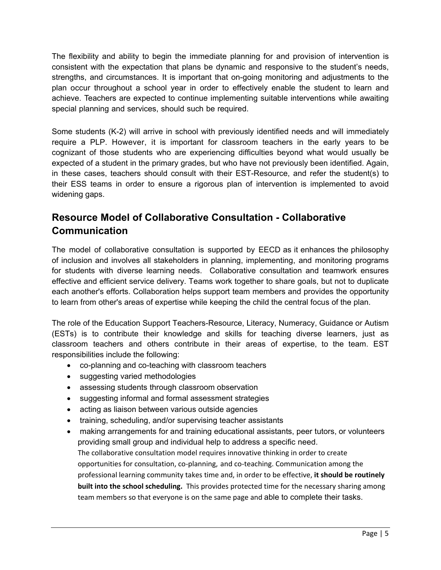The flexibility and ability to begin the immediate planning for and provision of intervention is consistent with the expectation that plans be dynamic and responsive to the student's needs, strengths, and circumstances. It is important that on-going monitoring and adjustments to the plan occur throughout a school year in order to effectively enable the student to learn and achieve. Teachers are expected to continue implementing suitable interventions while awaiting special planning and services, should such be required.

Some students (K-2) will arrive in school with previously identified needs and will immediately require a PLP. However, it is important for classroom teachers in the early years to be cognizant of those students who are experiencing difficulties beyond what would usually be expected of a student in the primary grades, but who have not previously been identified. Again, in these cases, teachers should consult with their EST-Resource, and refer the student(s) to their ESS teams in order to ensure a rigorous plan of intervention is implemented to avoid widening gaps.

# **Resource Model of Collaborative Consultation - Collaborative Communication**

The model of collaborative consultation is supported by EECD as it enhances the philosophy of inclusion and involves all stakeholders in planning, implementing, and monitoring programs for students with diverse learning needs. Collaborative consultation and teamwork ensures effective and efficient service delivery. Teams work together to share goals, but not to duplicate each another's efforts. Collaboration helps support team members and provides the opportunity to learn from other's areas of expertise while keeping the child the central focus of the plan.

The role of the Education Support Teachers-Resource, Literacy, Numeracy, Guidance or Autism (ESTs) is to contribute their knowledge and skills for teaching diverse learners, just as classroom teachers and others contribute in their areas of expertise, to the team. EST responsibilities include the following:

- co-planning and co-teaching with classroom teachers
- suggesting varied methodologies
- assessing students through classroom observation
- suggesting informal and formal assessment strategies
- acting as liaison between various outside agencies
- training, scheduling, and/or supervising teacher assistants
- making arrangements for and training educational assistants, peer tutors, or volunteers providing small group and individual help to address a specific need. The collaborative consultation model requires innovative thinking in order to create opportunities for consultation, co‐planning, and co‐teaching. Communication among the professional learning community takes time and, in order to be effective, **it should be routinely built into the school scheduling.** This provides protected time for the necessary sharing among team members so that everyone is on the same page and able to complete their tasks.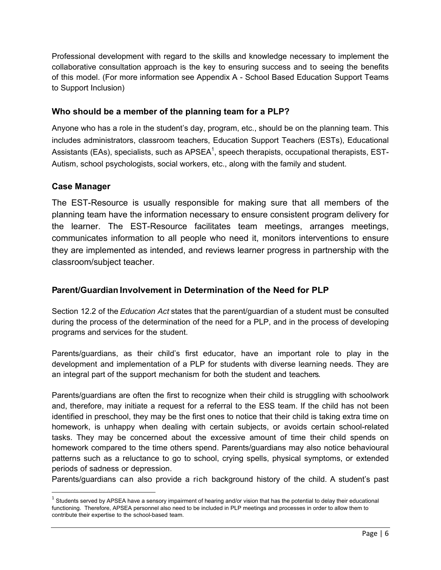Professional development with regard to the skills and knowledge necessary to implement the collaborative consultation approach is the key to ensuring success and to seeing the benefits of this model. (For more information see Appendix A - School Based Education Support Teams to Support Inclusion)

#### **Who should be a member of the planning team for a PLP?**

Anyone who has a role in the student's day, program, etc., should be on the planning team. This includes administrators, classroom teachers, Education Support Teachers (ESTs), Educational Assistants (EAs), specialists, such as APSEA<sup>1</sup>, speech therapists, occupational therapists, EST-Autism, school psychologists, social workers, etc., along with the family and student.

#### **Case Manager**

The EST-Resource is usually responsible for making sure that all members of the planning team have the information necessary to ensure consistent program delivery for the learner. The EST-Resource facilitates team meetings, arranges meetings, communicates information to all people who need it, monitors interventions to ensure they are implemented as intended, and reviews learner progress in partnership with the classroom/subject teacher.

#### **Parent/Guardian Involvement in Determination of the Need for PLP**

Section 12.2 of the *Education Act* states that the parent/guardian of a student must be consulted during the process of the determination of the need for a PLP, and in the process of developing programs and services for the student.

Parents/guardians, as their child's first educator, have an important role to play in the development and implementation of a PLP for students with diverse learning needs. They are an integral part of the support mechanism for both the student and teachers.

Parents/guardians are often the first to recognize when their child is struggling with schoolwork and, therefore, may initiate a request for a referral to the ESS team. If the child has not been identified in preschool, they may be the first ones to notice that their child is taking extra time on homework, is unhappy when dealing with certain subjects, or avoids certain school-related tasks. They may be concerned about the excessive amount of time their child spends on homework compared to the time others spend. Parents/guardians may also notice behavioural patterns such as a reluctance to go to school, crying spells, physical symptoms, or extended periods of sadness or depression.

Parents/guardians can also provide a rich background history of the child. A student's past

 $1$  Students served by APSEA have a sensory impairment of hearing and/or vision that has the potential to delay their educational functioning. Therefore, APSEA personnel also need to be included in PLP meetings and processes in order to allow them to contribute their expertise to the school-based team.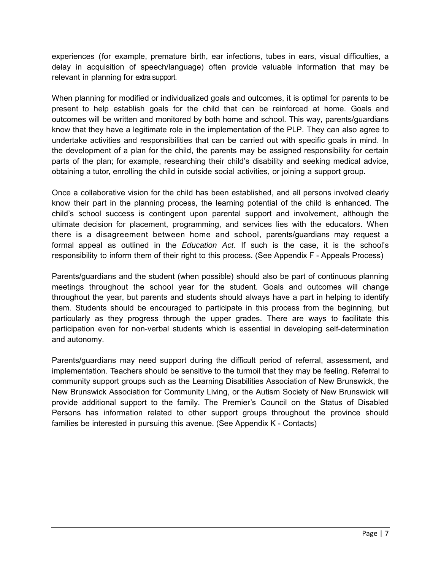experiences (for example, premature birth, ear infections, tubes in ears, visual difficulties, a delay in acquisition of speech/language) often provide valuable information that may be relevant in planning for extra support.

When planning for modified or individualized goals and outcomes, it is optimal for parents to be present to help establish goals for the child that can be reinforced at home. Goals and outcomes will be written and monitored by both home and school. This way, parents/guardians know that they have a legitimate role in the implementation of the PLP. They can also agree to undertake activities and responsibilities that can be carried out with specific goals in mind. In the development of a plan for the child, the parents may be assigned responsibility for certain parts of the plan; for example, researching their child's disability and seeking medical advice, obtaining a tutor, enrolling the child in outside social activities, or joining a support group.

Once a collaborative vision for the child has been established, and all persons involved clearly know their part in the planning process, the learning potential of the child is enhanced. The child's school success is contingent upon parental support and involvement, although the ultimate decision for placement, programming, and services lies with the educators. When there is a disagreement between home and school, parents/guardians may request a formal appeal as outlined in the *Education Act*. If such is the case, it is the school's responsibility to inform them of their right to this process. (See Appendix F - Appeals Process)

Parents/guardians and the student (when possible) should also be part of continuous planning meetings throughout the school year for the student. Goals and outcomes will change throughout the year, but parents and students should always have a part in helping to identify them. Students should be encouraged to participate in this process from the beginning, but particularly as they progress through the upper grades. There are ways to facilitate this participation even for non-verbal students which is essential in developing self-determination and autonomy.

Parents/guardians may need support during the difficult period of referral, assessment, and implementation. Teachers should be sensitive to the turmoil that they may be feeling. Referral to community support groups such as the Learning Disabilities Association of New Brunswick, the New Brunswick Association for Community Living, or the Autism Society of New Brunswick will provide additional support to the family. The Premier's Council on the Status of Disabled Persons has information related to other support groups throughout the province should families be interested in pursuing this avenue. (See Appendix K - Contacts)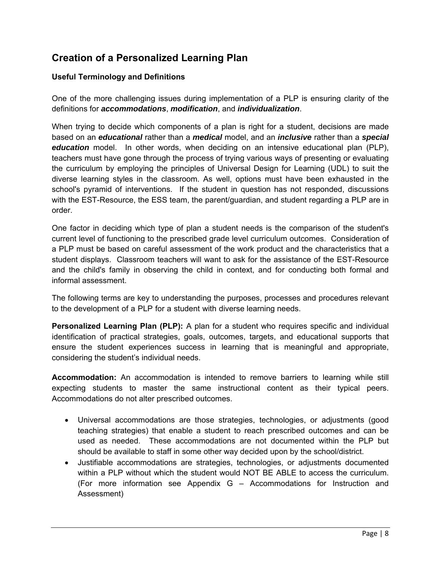### **Creation of a Personalized Learning Plan**

#### **Useful Terminology and Definitions**

One of the more challenging issues during implementation of a PLP is ensuring clarity of the definitions for *accommodations*, *modification*, and *individualization*.

When trying to decide which components of a plan is right for a student, decisions are made based on an *educational* rather than a *medical* model, and an *inclusive* rather than a *special education* model. In other words, when deciding on an intensive educational plan (PLP), teachers must have gone through the process of trying various ways of presenting or evaluating the curriculum by employing the principles of Universal Design for Learning (UDL) to suit the diverse learning styles in the classroom. As well, options must have been exhausted in the school's pyramid of interventions. If the student in question has not responded, discussions with the EST-Resource, the ESS team, the parent/guardian, and student regarding a PLP are in order.

One factor in deciding which type of plan a student needs is the comparison of the student's current level of functioning to the prescribed grade level curriculum outcomes. Consideration of a PLP must be based on careful assessment of the work product and the characteristics that a student displays. Classroom teachers will want to ask for the assistance of the EST-Resource and the child's family in observing the child in context, and for conducting both formal and informal assessment.

The following terms are key to understanding the purposes, processes and procedures relevant to the development of a PLP for a student with diverse learning needs.

**Personalized Learning Plan (PLP):** A plan for a student who requires specific and individual identification of practical strategies, goals, outcomes, targets, and educational supports that ensure the student experiences success in learning that is meaningful and appropriate, considering the student's individual needs.

**Accommodation:** An accommodation is intended to remove barriers to learning while still expecting students to master the same instructional content as their typical peers. Accommodations do not alter prescribed outcomes.

- Universal accommodations are those strategies, technologies, or adjustments (good teaching strategies) that enable a student to reach prescribed outcomes and can be used as needed. These accommodations are not documented within the PLP but should be available to staff in some other way decided upon by the school/district.
- Justifiable accommodations are strategies, technologies, or adjustments documented within a PLP without which the student would NOT BE ABLE to access the curriculum. (For more information see Appendix G – Accommodations for Instruction and Assessment)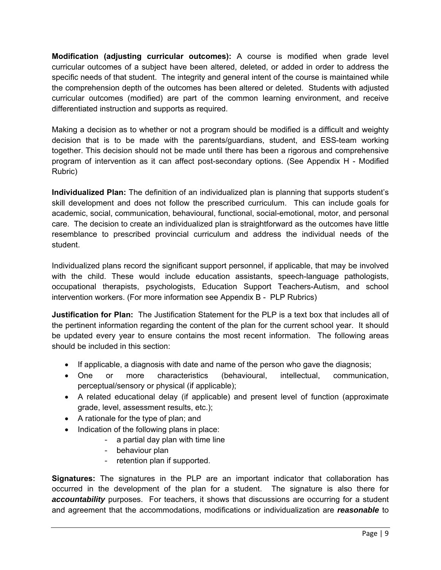**Modification (adjusting curricular outcomes):** A course is modified when grade level curricular outcomes of a subject have been altered, deleted, or added in order to address the specific needs of that student. The integrity and general intent of the course is maintained while the comprehension depth of the outcomes has been altered or deleted. Students with adjusted curricular outcomes (modified) are part of the common learning environment, and receive differentiated instruction and supports as required.

Making a decision as to whether or not a program should be modified is a difficult and weighty decision that is to be made with the parents/guardians, student, and ESS-team working together. This decision should not be made until there has been a rigorous and comprehensive program of intervention as it can affect post-secondary options. (See Appendix H - Modified Rubric)

**Individualized Plan:** The definition of an individualized plan is planning that supports student's skill development and does not follow the prescribed curriculum. This can include goals for academic, social, communication, behavioural, functional, social-emotional, motor, and personal care. The decision to create an individualized plan is straightforward as the outcomes have little resemblance to prescribed provincial curriculum and address the individual needs of the student.

Individualized plans record the significant support personnel, if applicable, that may be involved with the child. These would include education assistants, speech-language pathologists, occupational therapists, psychologists, Education Support Teachers-Autism, and school intervention workers. (For more information see Appendix B - PLP Rubrics)

**Justification for Plan:** The Justification Statement for the PLP is a text box that includes all of the pertinent information regarding the content of the plan for the current school year. It should be updated every year to ensure contains the most recent information. The following areas should be included in this section:

- If applicable, a diagnosis with date and name of the person who gave the diagnosis;
- One or more characteristics (behavioural, intellectual, communication, perceptual/sensory or physical (if applicable);
- A related educational delay (if applicable) and present level of function (approximate grade, level, assessment results, etc.);
- A rationale for the type of plan; and
- Indication of the following plans in place:
	- a partial day plan with time line
	- behaviour plan
	- retention plan if supported.

**Signatures:** The signatures in the PLP are an important indicator that collaboration has occurred in the development of the plan for a student. The signature is also there for *accountability* purposes. For teachers, it shows that discussions are occurring for a student and agreement that the accommodations, modifications or individualization are *reasonable* to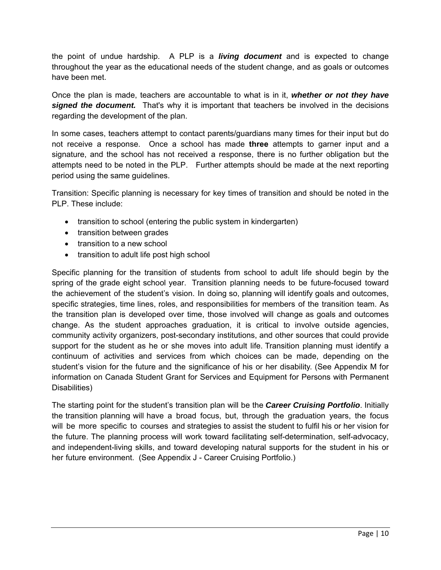the point of undue hardship. A PLP is a *living document* and is expected to change throughout the year as the educational needs of the student change, and as goals or outcomes have been met.

Once the plan is made, teachers are accountable to what is in it, *whether or not they have signed the document.* That's why it is important that teachers be involved in the decisions regarding the development of the plan.

In some cases, teachers attempt to contact parents/guardians many times for their input but do not receive a response. Once a school has made **three** attempts to garner input and a signature, and the school has not received a response, there is no further obligation but the attempts need to be noted in the PLP. Further attempts should be made at the next reporting period using the same guidelines.

Transition: Specific planning is necessary for key times of transition and should be noted in the PLP. These include:

- transition to school (entering the public system in kindergarten)
- transition between grades
- transition to a new school
- transition to adult life post high school

Specific planning for the transition of students from school to adult life should begin by the spring of the grade eight school year. Transition planning needs to be future-focused toward the achievement of the student's vision. In doing so, planning will identify goals and outcomes, specific strategies, time lines, roles, and responsibilities for members of the transition team. As the transition plan is developed over time, those involved will change as goals and outcomes change. As the student approaches graduation, it is critical to involve outside agencies, community activity organizers, post-secondary institutions, and other sources that could provide support for the student as he or she moves into adult life. Transition planning must identify a continuum of activities and services from which choices can be made, depending on the student's vision for the future and the significance of his or her disability. (See Appendix M for information on Canada Student Grant for Services and Equipment for Persons with Permanent Disabilities)

The starting point for the student's transition plan will be the *Career Cruising Portfolio*. Initially the transition planning will have a broad focus, but, through the graduation years, the focus will be more specific to courses and strategies to assist the student to fulfil his or her vision for the future. The planning process will work toward facilitating self-determination, self-advocacy, and independent-living skills, and toward developing natural supports for the student in his or her future environment. (See Appendix J - Career Cruising Portfolio.)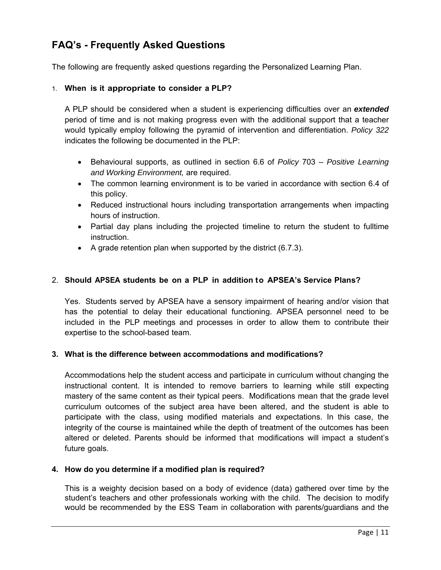### **FAQ's - Frequently Asked Questions**

The following are frequently asked questions regarding the Personalized Learning Plan.

#### 1. **When is it appropriate to consider a PLP?**

A PLP should be considered when a student is experiencing difficulties over an *extended* period of time and is not making progress even with the additional support that a teacher would typically employ following the pyramid of intervention and differentiation. *Policy 322* indicates the following be documented in the PLP:

- Behavioural supports, as outlined in section 6.6 of *Policy* 703 *Positive Learning and Working Environment,* are required.
- The common learning environment is to be varied in accordance with section 6.4 of this policy.
- Reduced instructional hours including transportation arrangements when impacting hours of instruction.
- Partial day plans including the projected timeline to return the student to fulltime instruction.
- $\bullet$  A grade retention plan when supported by the district (6.7.3).

#### 2. **Should APSEA students be on a PLP in addition to APSEA's Service Plans?**

Yes. Students served by APSEA have a sensory impairment of hearing and/or vision that has the potential to delay their educational functioning. APSEA personnel need to be included in the PLP meetings and processes in order to allow them to contribute their expertise to the school-based team.

#### **3. What is the difference between accommodations and modifications?**

Accommodations help the student access and participate in curriculum without changing the instructional content. It is intended to remove barriers to learning while still expecting mastery of the same content as their typical peers. Modifications mean that the grade level curriculum outcomes of the subject area have been altered, and the student is able to participate with the class, using modified materials and expectations. In this case, the integrity of the course is maintained while the depth of treatment of the outcomes has been altered or deleted. Parents should be informed that modifications will impact a student's future goals.

#### **4. How do you determine if a modified plan is required?**

This is a weighty decision based on a body of evidence (data) gathered over time by the student's teachers and other professionals working with the child. The decision to modify would be recommended by the ESS Team in collaboration with parents/guardians and the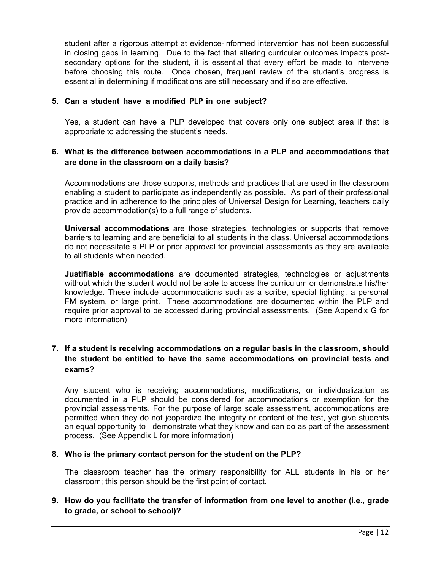student after a rigorous attempt at evidence-informed intervention has not been successful in closing gaps in learning. Due to the fact that altering curricular outcomes impacts postsecondary options for the student, it is essential that every effort be made to intervene before choosing this route. Once chosen, frequent review of the student's progress is essential in determining if modifications are still necessary and if so are effective.

#### **5. Can a student have a modified PLP in one subject?**

Yes, a student can have a PLP developed that covers only one subject area if that is appropriate to addressing the student's needs.

#### **6. What is the difference between accommodations in a PLP and accommodations that are done in the classroom on a daily basis?**

Accommodations are those supports, methods and practices that are used in the classroom enabling a student to participate as independently as possible. As part of their professional practice and in adherence to the principles of Universal Design for Learning, teachers daily provide accommodation(s) to a full range of students.

**Universal accommodations** are those strategies, technologies or supports that remove barriers to learning and are beneficial to all students in the class. Universal accommodations do not necessitate a PLP or prior approval for provincial assessments as they are available to all students when needed.

**Justifiable accommodations** are documented strategies, technologies or adjustments without which the student would not be able to access the curriculum or demonstrate his/her knowledge. These include accommodations such as a scribe, special lighting, a personal FM system, or large print. These accommodations are documented within the PLP and require prior approval to be accessed during provincial assessments. (See Appendix G for more information)

#### **7. If a student is receiving accommodations on a regular basis in the classroom, should the student be entitled to have the same accommodations on provincial tests and exams?**

Any student who is receiving accommodations, modifications, or individualization as documented in a PLP should be considered for accommodations or exemption for the provincial assessments. For the purpose of large scale assessment, accommodations are permitted when they do not jeopardize the integrity or content of the test, yet give students an equal opportunity to demonstrate what they know and can do as part of the assessment process. (See Appendix L for more information)

#### **8. Who is the primary contact person for the student on the PLP?**

The classroom teacher has the primary responsibility for ALL students in his or her classroom; this person should be the first point of contact.

#### **9. How do you facilitate the transfer of information from one level to another (i.e., grade to grade, or school to school)?**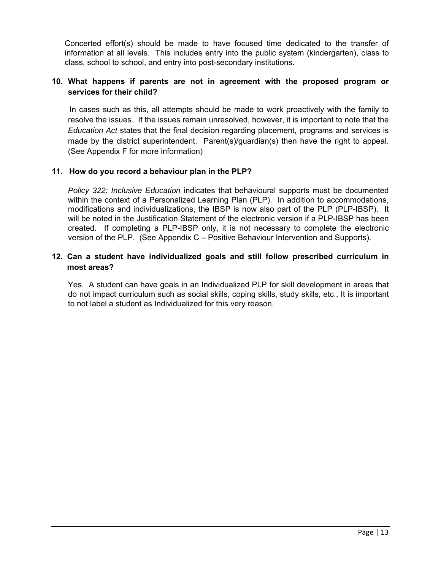Concerted effort(s) should be made to have focused time dedicated to the transfer of information at all levels. This includes entry into the public system (kindergarten), class to class, school to school, and entry into post-secondary institutions.

#### **10. What happens if parents are not in agreement with the proposed program or services for their child?**

 In cases such as this, all attempts should be made to work proactively with the family to resolve the issues. If the issues remain unresolved, however, it is important to note that the *Education Act* states that the final decision regarding placement, programs and services is made by the district superintendent. Parent(s)/guardian(s) then have the right to appeal. (See Appendix F for more information)

#### **11. How do you record a behaviour plan in the PLP?**

*Policy 322: Inclusive Education* indicates that behavioural supports must be documented within the context of a Personalized Learning Plan (PLP). In addition to accommodations, modifications and individualizations, the IBSP is now also part of the PLP (PLP-IBSP). It will be noted in the Justification Statement of the electronic version if a PLP-IBSP has been created. If completing a PLP-IBSP only, it is not necessary to complete the electronic version of the PLP. (See Appendix C – Positive Behaviour Intervention and Supports).

#### **12. Can a student have individualized goals and still follow prescribed curriculum in most areas?**

Yes. A student can have goals in an Individualized PLP for skill development in areas that do not impact curriculum such as social skills, coping skills, study skills, etc., It is important to not label a student as Individualized for this very reason.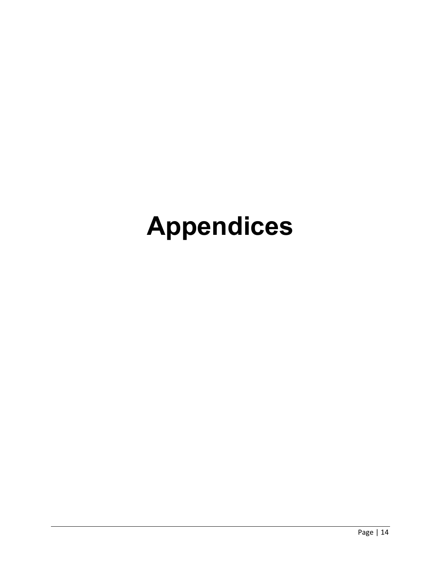# **Appendices**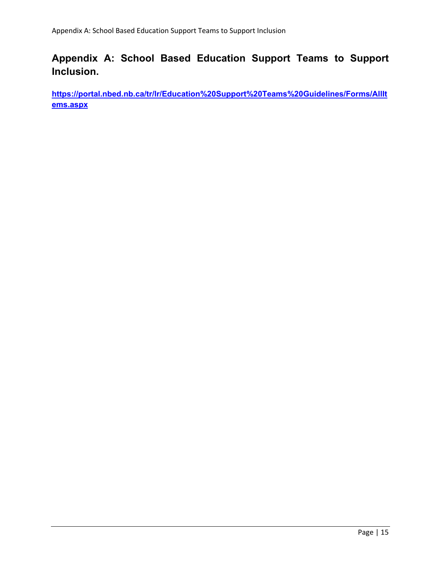# **Appendix A: School Based Education Support Teams to Support Inclusion.**

**https://portal.nbed.nb.ca/tr/lr/Education%20Support%20Teams%20Guidelines/Forms/AllIt ems.aspx**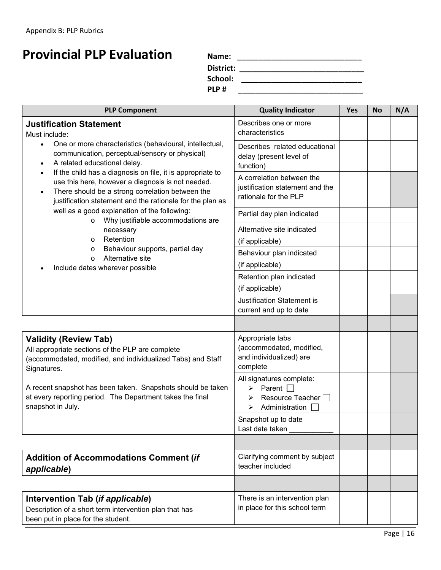# **Provincial PLP Evaluation Name: \_\_\_\_\_\_\_\_\_\_\_\_\_\_\_\_\_\_\_\_\_\_\_\_\_\_\_\_\_**

**District: \_\_\_\_\_\_\_\_\_\_\_\_\_\_\_\_\_\_\_\_\_\_\_\_\_\_\_\_\_**

 **School: \_\_\_\_\_\_\_\_\_\_\_\_\_\_\_\_\_\_\_\_\_\_\_\_\_\_\_\_** 

 **PLP # \_\_\_\_\_\_\_\_\_\_\_\_\_\_\_\_\_\_\_\_\_\_\_\_\_\_\_\_\_**

| <b>PLP Component</b>                                                                                                                                                                                                                                       | <b>Quality Indicator</b>                                                                                     | <b>Yes</b> | <b>No</b> | N/A |
|------------------------------------------------------------------------------------------------------------------------------------------------------------------------------------------------------------------------------------------------------------|--------------------------------------------------------------------------------------------------------------|------------|-----------|-----|
| <b>Justification Statement</b><br>Must include:                                                                                                                                                                                                            | Describes one or more<br>characteristics                                                                     |            |           |     |
| One or more characteristics (behavioural, intellectual,<br>$\bullet$<br>communication, perceptual/sensory or physical)<br>A related educational delay.                                                                                                     | Describes related educational<br>delay (present level of<br>function)                                        |            |           |     |
| If the child has a diagnosis on file, it is appropriate to<br>$\bullet$<br>use this here, however a diagnosis is not needed.<br>There should be a strong correlation between the<br>$\bullet$<br>justification statement and the rationale for the plan as | A correlation between the<br>justification statement and the<br>rationale for the PLP                        |            |           |     |
| well as a good explanation of the following:<br>Why justifiable accommodations are                                                                                                                                                                         | Partial day plan indicated                                                                                   |            |           |     |
| $\circ$<br>necessary<br>Retention<br>$\circ$<br>Behaviour supports, partial day<br>$\circ$<br>Alternative site<br>$\circ$<br>Include dates wherever possible                                                                                               | Alternative site indicated<br>(if applicable)                                                                |            |           |     |
|                                                                                                                                                                                                                                                            | Behaviour plan indicated<br>(if applicable)                                                                  |            |           |     |
|                                                                                                                                                                                                                                                            | Retention plan indicated<br>(if applicable)                                                                  |            |           |     |
|                                                                                                                                                                                                                                                            | <b>Justification Statement is</b><br>current and up to date                                                  |            |           |     |
|                                                                                                                                                                                                                                                            |                                                                                                              |            |           |     |
| <b>Validity (Review Tab)</b><br>All appropriate sections of the PLP are complete<br>(accommodated, modified, and individualized Tabs) and Staff<br>Signatures.                                                                                             | Appropriate tabs<br>(accommodated, modified,<br>and individualized) are<br>complete                          |            |           |     |
| A recent snapshot has been taken. Snapshots should be taken<br>at every reporting period. The Department takes the final<br>snapshot in July.                                                                                                              | All signatures complete:<br>Parent $\Box$<br>➤<br>Resource Teacher $\Box$<br>⋗<br>Administration $\Box$<br>➤ |            |           |     |
|                                                                                                                                                                                                                                                            | Snapshot up to date<br>Last date taken                                                                       |            |           |     |
|                                                                                                                                                                                                                                                            |                                                                                                              |            |           |     |
| <b>Addition of Accommodations Comment (if</b><br>applicable)                                                                                                                                                                                               | Clarifying comment by subject<br>teacher included                                                            |            |           |     |
|                                                                                                                                                                                                                                                            |                                                                                                              |            |           |     |
| Intervention Tab (if applicable)<br>Description of a short term intervention plan that has<br>been put in place for the student.                                                                                                                           | There is an intervention plan<br>in place for this school term                                               |            |           |     |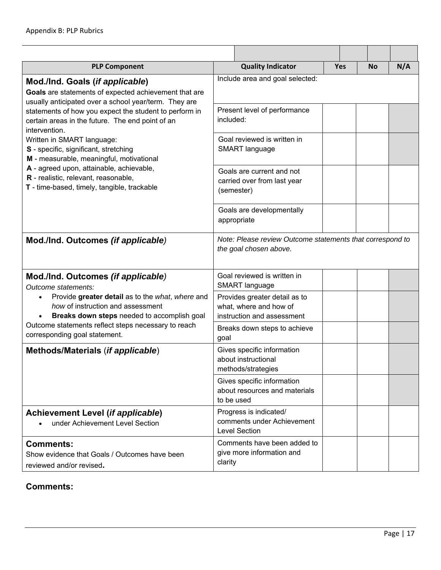| <b>PLP Component</b>                                                                                                                                   |           | <b>Quality Indicator</b>                                                              | <b>Yes</b> | <b>No</b> | N/A |
|--------------------------------------------------------------------------------------------------------------------------------------------------------|-----------|---------------------------------------------------------------------------------------|------------|-----------|-----|
| Mod./Ind. Goals (if applicable)<br>Goals are statements of expected achievement that are<br>usually anticipated over a school year/term. They are      |           | Include area and goal selected:                                                       |            |           |     |
| statements of how you expect the student to perform in<br>certain areas in the future. The end point of an<br>intervention.                            | included: | Present level of performance                                                          |            |           |     |
| Written in SMART language:<br>S - specific, significant, stretching<br>M - measurable, meaningful, motivational                                        |           | Goal reviewed is written in<br><b>SMART</b> language                                  |            |           |     |
| A - agreed upon, attainable, achievable,<br>R - realistic, relevant, reasonable,<br>T - time-based, timely, tangible, trackable                        |           | Goals are current and not<br>carried over from last year<br>(semester)                |            |           |     |
|                                                                                                                                                        |           | Goals are developmentally<br>appropriate                                              |            |           |     |
| Mod./Ind. Outcomes (if applicable)                                                                                                                     |           | Note: Please review Outcome statements that correspond to<br>the goal chosen above.   |            |           |     |
| Mod./Ind. Outcomes (if applicable)<br>Outcome statements:                                                                                              |           | Goal reviewed is written in<br><b>SMART</b> language                                  |            |           |     |
| Provide greater detail as to the what, where and<br>$\bullet$<br>how of instruction and assessment<br>Breaks down steps needed to accomplish goal<br>٠ |           | Provides greater detail as to<br>what, where and how of<br>instruction and assessment |            |           |     |
| Outcome statements reflect steps necessary to reach<br>corresponding goal statement.                                                                   | goal      | Breaks down steps to achieve                                                          |            |           |     |
| Methods/Materials (if applicable)                                                                                                                      |           | Gives specific information<br>about instructional<br>methods/strategies               |            |           |     |
|                                                                                                                                                        |           | Gives specific information<br>about resources and materials<br>to be used             |            |           |     |
| <b>Achievement Level (if applicable)</b><br>under Achievement Level Section                                                                            |           | Progress is indicated/<br>comments under Achievement<br><b>Level Section</b>          |            |           |     |
| <b>Comments:</b><br>Show evidence that Goals / Outcomes have been<br>reviewed and/or revised.                                                          | clarity   | Comments have been added to<br>give more information and                              |            |           |     |

#### **Comments:**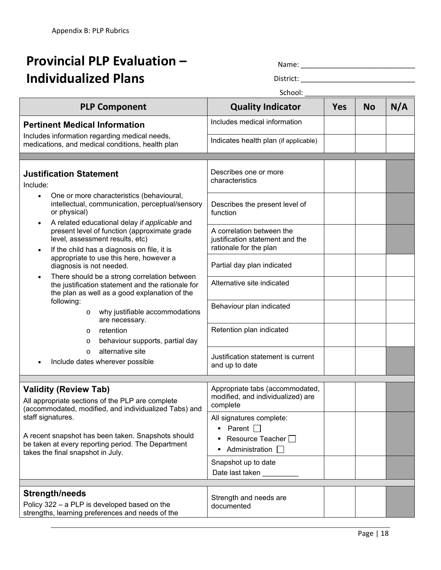# **Provincial PLP Evaluation – Individualized Plans**

Name: \_\_\_\_\_\_\_\_\_\_\_\_\_\_\_\_\_\_\_\_\_\_\_\_\_\_\_\_\_

District: \_\_\_\_\_\_\_\_\_\_\_\_\_\_\_\_\_\_\_\_\_\_\_\_\_\_\_\_\_

School:

|                                                                                                                                                                                                                             | JUIUUI.                                                                                                                     |            |           |     |
|-----------------------------------------------------------------------------------------------------------------------------------------------------------------------------------------------------------------------------|-----------------------------------------------------------------------------------------------------------------------------|------------|-----------|-----|
| <b>PLP Component</b>                                                                                                                                                                                                        | <b>Quality Indicator</b>                                                                                                    | <b>Yes</b> | <b>No</b> | N/A |
| <b>Pertinent Medical Information</b>                                                                                                                                                                                        | Includes medical information                                                                                                |            |           |     |
| Includes information regarding medical needs,<br>medications, and medical conditions, health plan                                                                                                                           | Indicates health plan (if applicable)                                                                                       |            |           |     |
|                                                                                                                                                                                                                             |                                                                                                                             |            |           |     |
| <b>Justification Statement</b><br>Include:<br>One or more characteristics (behavioural,<br>$\bullet$                                                                                                                        | Describes one or more<br>characteristics                                                                                    |            |           |     |
| intellectual, communication, perceptual/sensory<br>or physical)<br>A related educational delay if applicable and<br>$\bullet$                                                                                               | Describes the present level of<br>function                                                                                  |            |           |     |
| present level of function (approximate grade<br>level, assessment results, etc)<br>If the child has a diagnosis on file, it is<br>$\bullet$                                                                                 | A correlation between the<br>justification statement and the<br>rationale for the plan                                      |            |           |     |
| appropriate to use this here, however a<br>diagnosis is not needed.                                                                                                                                                         | Partial day plan indicated                                                                                                  |            |           |     |
| There should be a strong correlation between<br>$\bullet$<br>the justification statement and the rationale for<br>the plan as well as a good explanation of the                                                             | Alternative site indicated                                                                                                  |            |           |     |
| following:<br>why justifiable accommodations<br>$\circ$<br>are necessary.                                                                                                                                                   | Behaviour plan indicated                                                                                                    |            |           |     |
| retention<br>$\circ$<br>behaviour supports, partial day<br>O                                                                                                                                                                | Retention plan indicated                                                                                                    |            |           |     |
| alternative site<br>$\circ$<br>Include dates wherever possible                                                                                                                                                              | Justification statement is current<br>and up to date                                                                        |            |           |     |
| <b>Validity (Review Tab)</b><br>All appropriate sections of the PLP are complete                                                                                                                                            | Appropriate tabs (accommodated,<br>modified, and individualized) are                                                        |            |           |     |
| (accommodated, modified, and individualized Tabs) and<br>staff signatures.<br>A recent snapshot has been taken. Snapshots should<br>be taken at every reporting period. The Department<br>takes the final snapshot in July. | complete<br>All signatures complete:<br>Parent $\Box$<br>$\blacksquare$<br>Resource Teacher $\Box$<br>Administration $\Box$ |            |           |     |
|                                                                                                                                                                                                                             | Snapshot up to date<br>Date last taken                                                                                      |            |           |     |
| <b>Strength/needs</b><br>Policy 322 - a PLP is developed based on the<br>strengths, learning preferences and needs of the                                                                                                   | Strength and needs are<br>documented                                                                                        |            |           |     |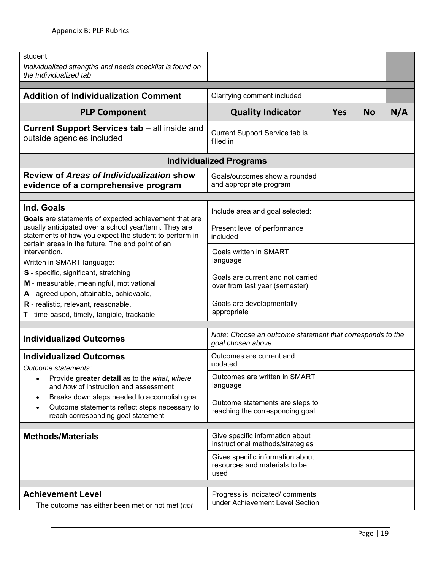| student<br>Individualized strengths and needs checklist is found on<br>the Individualized tab                                                                                                                                                                                                                                                       |                                                                                |            |           |     |
|-----------------------------------------------------------------------------------------------------------------------------------------------------------------------------------------------------------------------------------------------------------------------------------------------------------------------------------------------------|--------------------------------------------------------------------------------|------------|-----------|-----|
| <b>Addition of Individualization Comment</b>                                                                                                                                                                                                                                                                                                        | Clarifying comment included                                                    |            |           |     |
| <b>PLP Component</b>                                                                                                                                                                                                                                                                                                                                | <b>Quality Indicator</b>                                                       | <b>Yes</b> | <b>No</b> | N/A |
| <b>Current Support Services tab – all inside and</b><br>outside agencies included                                                                                                                                                                                                                                                                   | Current Support Service tab is<br>filled in                                    |            |           |     |
|                                                                                                                                                                                                                                                                                                                                                     | <b>Individualized Programs</b>                                                 |            |           |     |
| Review of Areas of Individualization show<br>evidence of a comprehensive program                                                                                                                                                                                                                                                                    | Goals/outcomes show a rounded<br>and appropriate program                       |            |           |     |
| Ind. Goals<br>Goals are statements of expected achievement that are                                                                                                                                                                                                                                                                                 | Include area and goal selected:                                                |            |           |     |
| usually anticipated over a school year/term. They are<br>statements of how you expect the student to perform in<br>certain areas in the future. The end point of an<br>intervention.<br>Written in SMART language:<br>S - specific, significant, stretching<br>M - measurable, meaningful, motivational<br>A - agreed upon, attainable, achievable, | Present level of performance<br>included                                       |            |           |     |
|                                                                                                                                                                                                                                                                                                                                                     | Goals written in SMART<br>language                                             |            |           |     |
|                                                                                                                                                                                                                                                                                                                                                     | Goals are current and not carried<br>over from last year (semester)            |            |           |     |
| R - realistic, relevant, reasonable,<br>T - time-based, timely, tangible, trackable                                                                                                                                                                                                                                                                 | Goals are developmentally<br>appropriate                                       |            |           |     |
| <b>Individualized Outcomes</b>                                                                                                                                                                                                                                                                                                                      | Note: Choose an outcome statement that corresponds to the<br>goal chosen above |            |           |     |
| <b>Individualized Outcomes</b><br>Outcome statements:                                                                                                                                                                                                                                                                                               | Outcomes are current and<br>updated.                                           |            |           |     |
| Provide greater detail as to the what, where<br>$\bullet$<br>and how of instruction and assessment                                                                                                                                                                                                                                                  | Outcomes are written in SMART<br>language                                      |            |           |     |
| Breaks down steps needed to accomplish goal<br>$\bullet$<br>Outcome statements reflect steps necessary to<br>$\bullet$<br>reach corresponding goal statement                                                                                                                                                                                        | Outcome statements are steps to<br>reaching the corresponding goal             |            |           |     |
| <b>Methods/Materials</b>                                                                                                                                                                                                                                                                                                                            | Give specific information about<br>instructional methods/strategies            |            |           |     |
|                                                                                                                                                                                                                                                                                                                                                     | Gives specific information about<br>resources and materials to be<br>used      |            |           |     |
| <b>Achievement Level</b>                                                                                                                                                                                                                                                                                                                            |                                                                                |            |           |     |
| The outcome has either been met or not met (not                                                                                                                                                                                                                                                                                                     | Progress is indicated/ comments<br>under Achievement Level Section             |            |           |     |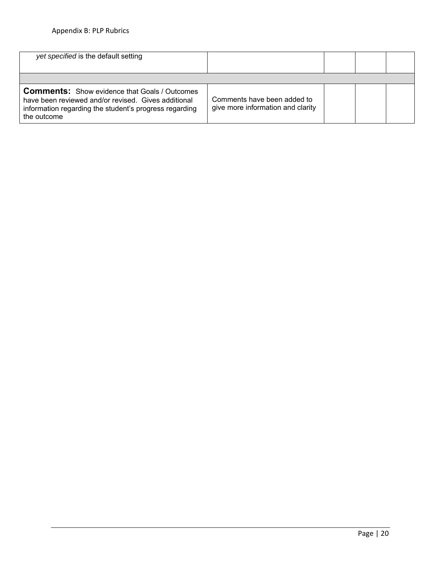| yet specified is the default setting                                                                                                                                                 |                                                                  |  |  |
|--------------------------------------------------------------------------------------------------------------------------------------------------------------------------------------|------------------------------------------------------------------|--|--|
|                                                                                                                                                                                      |                                                                  |  |  |
| <b>Comments:</b> Show evidence that Goals / Outcomes<br>have been reviewed and/or revised. Gives additional<br>information regarding the student's progress regarding<br>the outcome | Comments have been added to<br>give more information and clarity |  |  |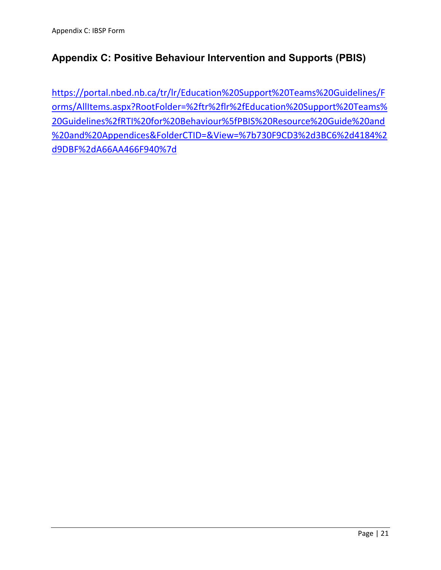# **Appendix C: Positive Behaviour Intervention and Supports (PBIS)**

https://portal.nbed.nb.ca/tr/lr/Education%20Support%20Teams%20Guidelines/F orms/AllItems.aspx?RootFolder=%2ftr%2flr%2fEducation%20Support%20Teams% 20Guidelines%2fRTI%20for%20Behaviour%5fPBIS%20Resource%20Guide%20and %20and%20Appendices&FolderCTID=&View=%7b730F9CD3%2d3BC6%2d4184%2 d9DBF%2dA66AA466F940%7d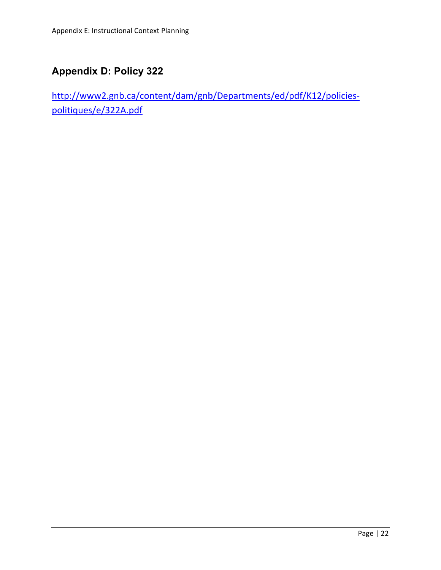# **Appendix D: Policy 322**

http://www2.gnb.ca/content/dam/gnb/Departments/ed/pdf/K12/policies‐ politiques/e/322A.pdf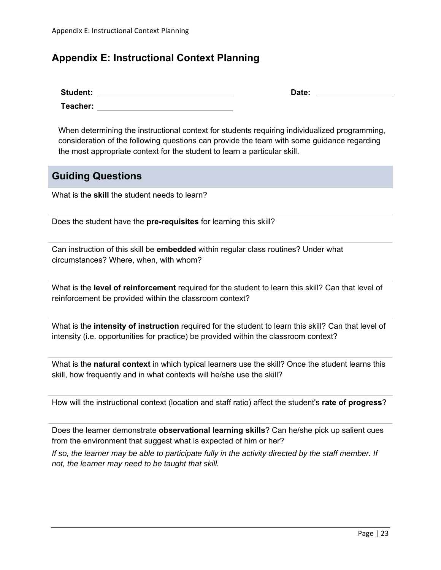### **Appendix E: Instructional Context Planning**

| <b>Student:</b> | Date: |
|-----------------|-------|
| Teacher:        |       |

When determining the instructional context for students requiring individualized programming, consideration of the following questions can provide the team with some guidance regarding the most appropriate context for the student to learn a particular skill.

#### **Guiding Questions**

What is the **skill** the student needs to learn?

Does the student have the **pre-requisites** for learning this skill?

Can instruction of this skill be **embedded** within regular class routines? Under what circumstances? Where, when, with whom?

What is the **level of reinforcement** required for the student to learn this skill? Can that level of reinforcement be provided within the classroom context?

What is the **intensity of instruction** required for the student to learn this skill? Can that level of intensity (i.e. opportunities for practice) be provided within the classroom context?

What is the **natural context** in which typical learners use the skill? Once the student learns this skill, how frequently and in what contexts will he/she use the skill?

How will the instructional context (location and staff ratio) affect the student's **rate of progress**?

Does the learner demonstrate **observational learning skills**? Can he/she pick up salient cues from the environment that suggest what is expected of him or her?

*If so, the learner may be able to participate fully in the activity directed by the staff member. If not, the learner may need to be taught that skill.*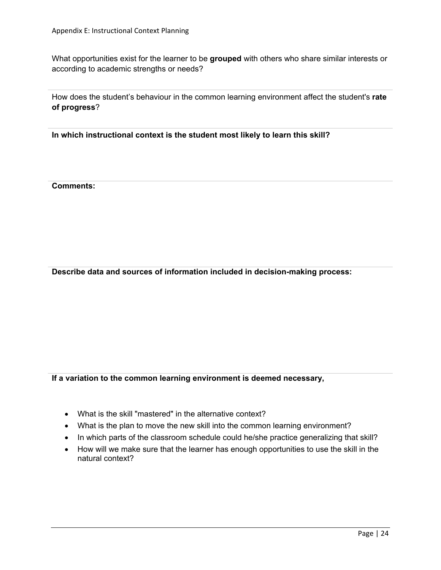What opportunities exist for the learner to be **grouped** with others who share similar interests or according to academic strengths or needs?

How does the student's behaviour in the common learning environment affect the student's **rate of progress**?

**In which instructional context is the student most likely to learn this skill?** 

**Comments:** 

**Describe data and sources of information included in decision-making process:** 

**If a variation to the common learning environment is deemed necessary,** 

- What is the skill "mastered" in the alternative context?
- What is the plan to move the new skill into the common learning environment?
- In which parts of the classroom schedule could he/she practice generalizing that skill?
- How will we make sure that the learner has enough opportunities to use the skill in the natural context?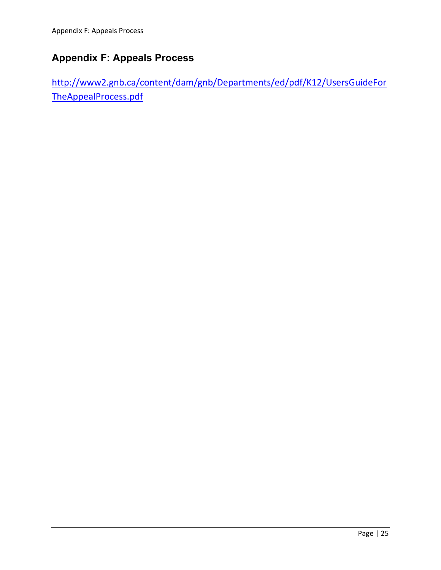# **Appendix F: Appeals Process**

http://www2.gnb.ca/content/dam/gnb/Departments/ed/pdf/K12/UsersGuideFor TheAppealProcess.pdf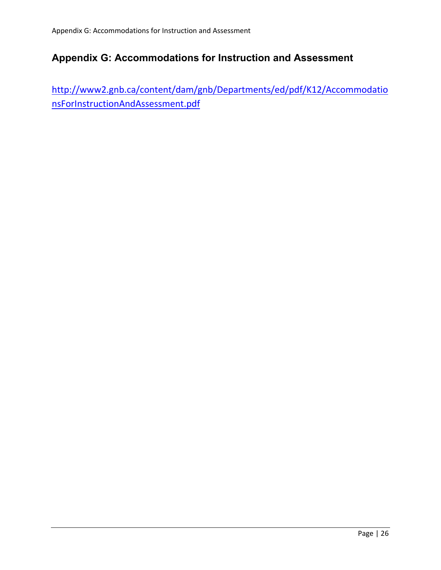# **Appendix G: Accommodations for Instruction and Assessment**

http://www2.gnb.ca/content/dam/gnb/Departments/ed/pdf/K12/Accommodatio nsForInstructionAndAssessment.pdf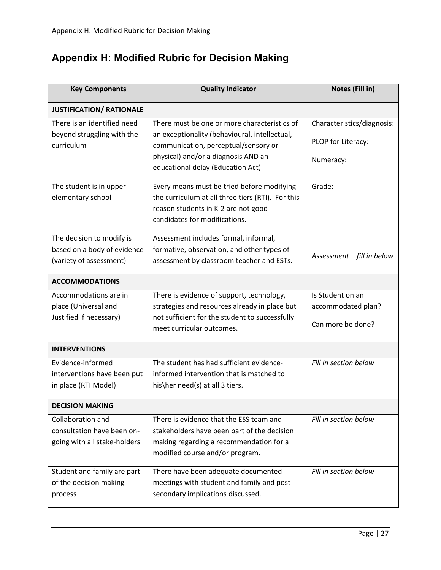# **Appendix H: Modified Rubric for Decision Making**

| <b>Key Components</b>           | <b>Quality Indicator</b>                          | Notes (Fill in)            |
|---------------------------------|---------------------------------------------------|----------------------------|
| <b>JUSTIFICATION/ RATIONALE</b> |                                                   |                            |
| There is an identified need     | There must be one or more characteristics of      | Characteristics/diagnosis: |
| beyond struggling with the      | an exceptionality (behavioural, intellectual,     |                            |
| curriculum                      | communication, perceptual/sensory or              | PLOP for Literacy:         |
|                                 | physical) and/or a diagnosis AND an               | Numeracy:                  |
|                                 | educational delay (Education Act)                 |                            |
| The student is in upper         | Every means must be tried before modifying        | Grade:                     |
| elementary school               | the curriculum at all three tiers (RTI). For this |                            |
|                                 | reason students in K-2 are not good               |                            |
|                                 | candidates for modifications.                     |                            |
| The decision to modify is       | Assessment includes formal, informal,             |                            |
| based on a body of evidence     | formative, observation, and other types of        |                            |
| (variety of assessment)         | assessment by classroom teacher and ESTs.         | Assessment - fill in below |
| <b>ACCOMMODATIONS</b>           |                                                   |                            |
| Accommodations are in           | There is evidence of support, technology,         | Is Student on an           |
| place (Universal and            | strategies and resources already in place but     | accommodated plan?         |
| Justified if necessary)         | not sufficient for the student to successfully    |                            |
|                                 | meet curricular outcomes.                         | Can more be done?          |
| <b>INTERVENTIONS</b>            |                                                   |                            |
| Evidence-informed               | The student has had sufficient evidence-          | Fill in section below      |
| interventions have been put     | informed intervention that is matched to          |                            |
| in place (RTI Model)            | his\her need(s) at all 3 tiers.                   |                            |
| <b>DECISION MAKING</b>          |                                                   |                            |
| Collaboration and               | There is evidence that the ESS team and           | Fill in section below      |
| consultation have been on-      | stakeholders have been part of the decision       |                            |
| going with all stake-holders    | making regarding a recommendation for a           |                            |
|                                 | modified course and/or program.                   |                            |
| Student and family are part     | There have been adequate documented               | Fill in section below      |
| of the decision making          | meetings with student and family and post-        |                            |
| process                         | secondary implications discussed.                 |                            |
|                                 |                                                   |                            |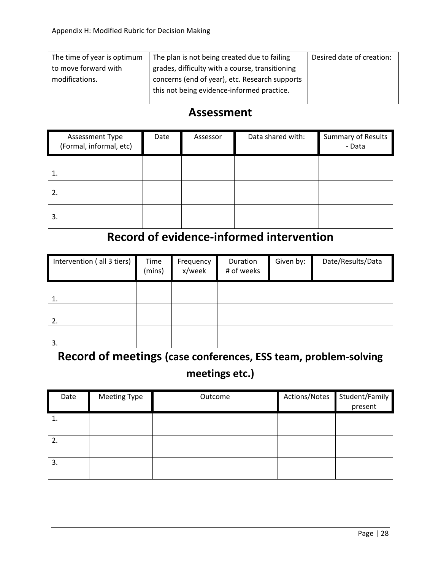| The time of year is optimum | The plan is not being created due to failing    | Desired date of creation: |
|-----------------------------|-------------------------------------------------|---------------------------|
| to move forward with        | grades, difficulty with a course, transitioning |                           |
| modifications.              | concerns (end of year), etc. Research supports  |                           |
|                             | this not being evidence-informed practice.      |                           |
|                             |                                                 |                           |

# **Assessment**

| Assessment Type<br>(Formal, informal, etc) | Date | Assessor | Data shared with: | Summary of Results<br>- Data |
|--------------------------------------------|------|----------|-------------------|------------------------------|
|                                            |      |          |                   |                              |
|                                            |      |          |                   |                              |
| 3.                                         |      |          |                   |                              |

# **Record of evidence‐informed intervention**

| Intervention (all 3 tiers) | Time<br>(mins) | Frequency<br>x/week | Duration<br># of weeks | Given by: | Date/Results/Data |
|----------------------------|----------------|---------------------|------------------------|-----------|-------------------|
| 1.                         |                |                     |                        |           |                   |
| 2.                         |                |                     |                        |           |                   |
| 3.                         |                |                     |                        |           |                   |

# **Record of meetings (case conferences, ESS team, problem‐solving meetings etc.)**

| Date | Meeting Type | Outcome | Actions/Notes | Student/Family<br>present |
|------|--------------|---------|---------------|---------------------------|
| ᆂ.   |              |         |               |                           |
| z.   |              |         |               |                           |
| 3.   |              |         |               |                           |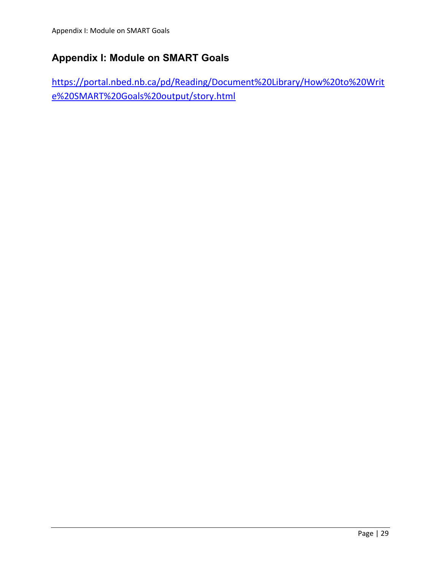# **Appendix I: Module on SMART Goals**

https://portal.nbed.nb.ca/pd/Reading/Document%20Library/How%20to%20Writ e%20SMART%20Goals%20output/story.html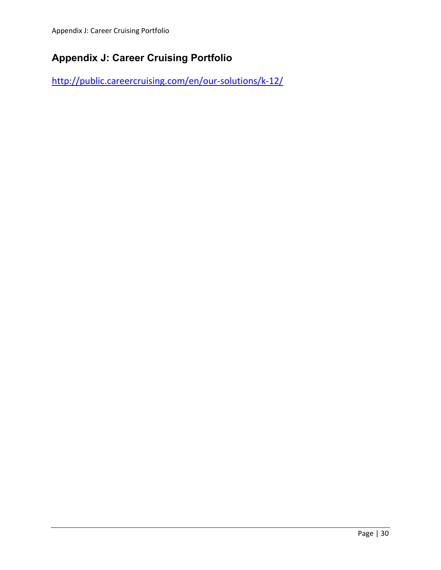# **Appendix J: Career Cruising Portfolio**

http://public.careercruising.com/en/our‐solutions/k‐12/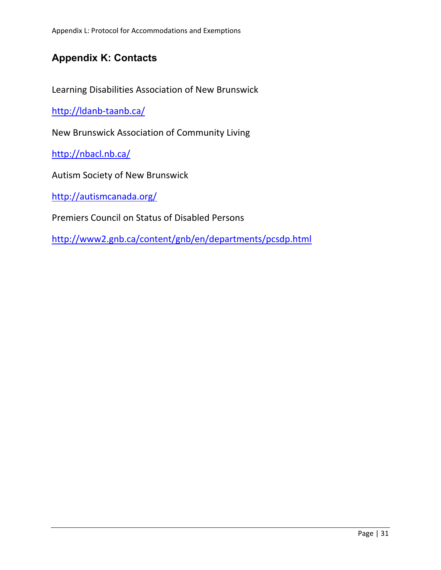# **Appendix K: Contacts**

Learning Disabilities Association of New Brunswick

http://ldanb-taanb.ca/

New Brunswick Association of Community Living

http://nbacl.nb.ca/

Autism Society of New Brunswick

http://autismcanada.org/

Premiers Council on Status of Disabled Persons

http://www2.gnb.ca/content/gnb/en/departments/pcsdp.html